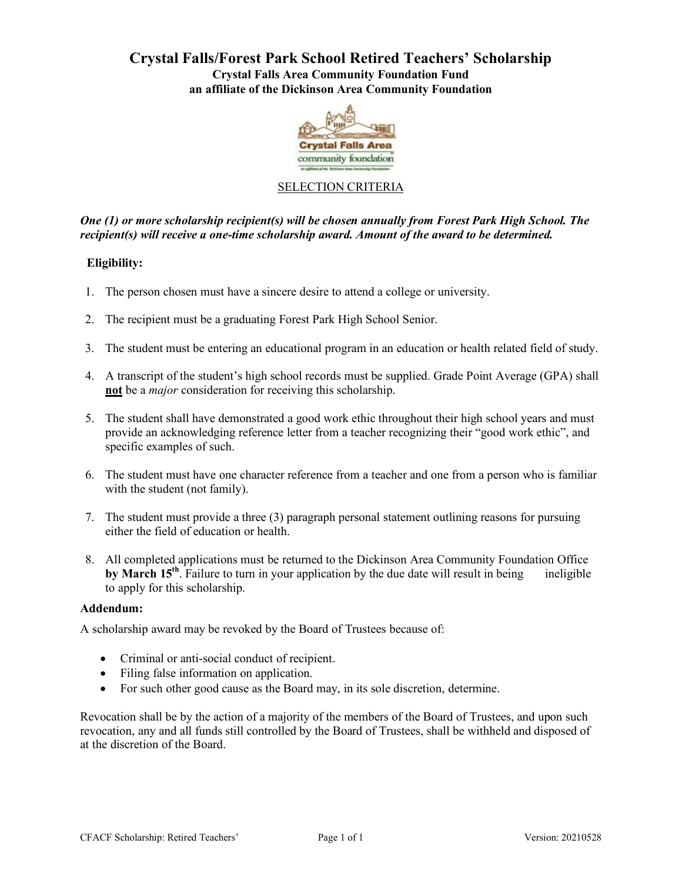# **Crystal Falls/Forest Park School Retired Teachers' Scholarship Crystal Falls Area Community Foundation Fund an affiliate of the Dickinson Area Community Foundation**



## SELECTION CRITERIA

*One (1) or more scholarship recipient(s) will be chosen annually from Forest Park High School. The recipient(s) will receive a one-time scholarship award. Amount of the award to be determined.*

## **Eligibility:**

- 1. The person chosen must have a sincere desire to attend a college or university.
- 2. The recipient must be a graduating Forest Park High School Senior.
- 3. The student must be entering an educational program in an education or health related field of study.
- 4. A transcript of the student's high school records must be supplied. Grade Point Average (GPA) shall **not** be a *major* consideration for receiving this scholarship.
- 5. The student shall have demonstrated a good work ethic throughout their high school years and must provide an acknowledging reference letter from a teacher recognizing their "good work ethic", and specific examples of such.
- 6. The student must have one character reference from a teacher and one from a person who is familiar with the student (not family).
- 7. The student must provide a three (3) paragraph personal statement outlining reasons for pursuing either the field of education or health.
- 8. All completed applications must be returned to the Dickinson Area Community Foundation Office **by March 15<sup>th</sup>**. Failure to turn in your application by the due date will result in being ineligible to apply for this scholarship.

#### **Addendum:**

A scholarship award may be revoked by the Board of Trustees because of:

- Criminal or anti-social conduct of recipient.
- Filing false information on application.
- For such other good cause as the Board may, in its sole discretion, determine.

Revocation shall be by the action of a majority of the members of the Board of Trustees, and upon such revocation, any and all funds still controlled by the Board of Trustees, shall be withheld and disposed of at the discretion of the Board.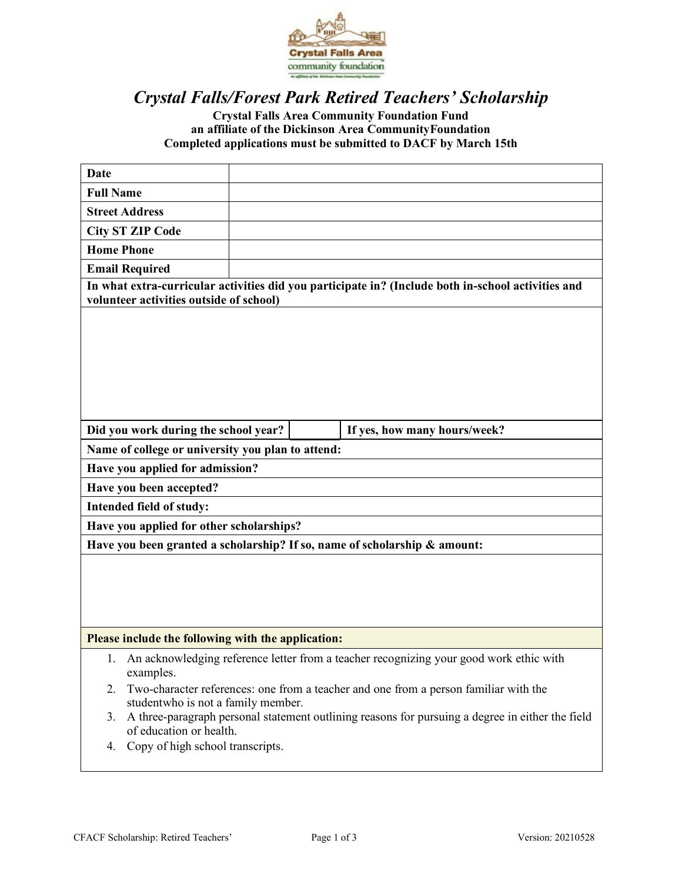

# *Crystal Falls/Forest Park Retired Teachers' Scholarship*

# **Crystal Falls Area Community Foundation Fund an affiliate of the Dickinson Area CommunityFoundation Completed applications must be submitted to DACF by March 15th**

| Date                                                                                                                              |  |  |                              |
|-----------------------------------------------------------------------------------------------------------------------------------|--|--|------------------------------|
| <b>Full Name</b>                                                                                                                  |  |  |                              |
| <b>Street Address</b>                                                                                                             |  |  |                              |
| <b>City ST ZIP Code</b>                                                                                                           |  |  |                              |
| <b>Home Phone</b>                                                                                                                 |  |  |                              |
| <b>Email Required</b>                                                                                                             |  |  |                              |
| In what extra-curricular activities did you participate in? (Include both in-school activities and                                |  |  |                              |
| volunteer activities outside of school)                                                                                           |  |  |                              |
|                                                                                                                                   |  |  |                              |
|                                                                                                                                   |  |  |                              |
|                                                                                                                                   |  |  |                              |
|                                                                                                                                   |  |  |                              |
|                                                                                                                                   |  |  |                              |
|                                                                                                                                   |  |  |                              |
| Did you work during the school year?                                                                                              |  |  | If yes, how many hours/week? |
| Name of college or university you plan to attend:                                                                                 |  |  |                              |
| Have you applied for admission?                                                                                                   |  |  |                              |
| Have you been accepted?                                                                                                           |  |  |                              |
| Intended field of study:                                                                                                          |  |  |                              |
| Have you applied for other scholarships?                                                                                          |  |  |                              |
| Have you been granted a scholarship? If so, name of scholarship & amount:                                                         |  |  |                              |
|                                                                                                                                   |  |  |                              |
|                                                                                                                                   |  |  |                              |
|                                                                                                                                   |  |  |                              |
|                                                                                                                                   |  |  |                              |
| Please include the following with the application:                                                                                |  |  |                              |
| An acknowledging reference letter from a teacher recognizing your good work ethic with<br>1.<br>examples.                         |  |  |                              |
| Two-character references: one from a teacher and one from a person familiar with the<br>2.<br>studentwho is not a family member.  |  |  |                              |
| A three-paragraph personal statement outlining reasons for pursuing a degree in either the field<br>3.<br>of education or health. |  |  |                              |
| Copy of high school transcripts.<br>4.                                                                                            |  |  |                              |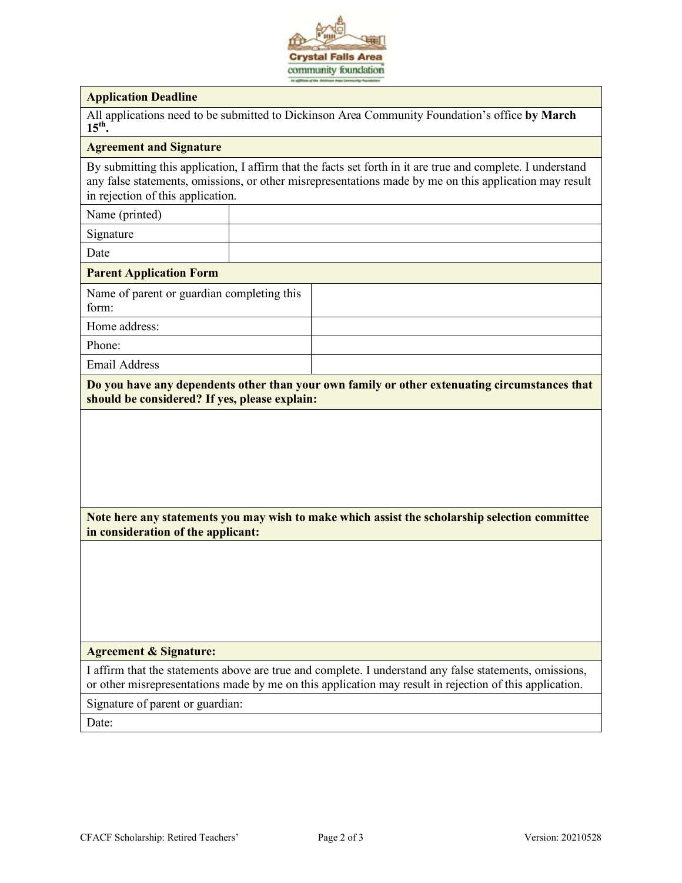

#### **Application Deadline**

All applications need to be submitted to Dickinson Area Community Foundation's office **by March 15th.**

#### **Agreement and Signature**

By submitting this application, I affirm that the facts set forth in it are true and complete. I understand any false statements, omissions, or other misrepresentations made by me on this application may result in rejection of this application.

Name (printed)

Signature

Date

#### **Parent Application Form**

Name of parent or guardian completing this form:

Home address:

Phone:

Email Address

**Do you have any dependents other than your own family or other extenuating circumstances that should be considered? If yes, please explain:**

## **Note here any statements you may wish to make which assist the scholarship selection committee in consideration of the applicant:**

#### **Agreement & Signature:**

I affirm that the statements above are true and complete. I understand any false statements, omissions, or other misrepresentations made by me on this application may result in rejection of this application.

Signature of parent or guardian:

Date: